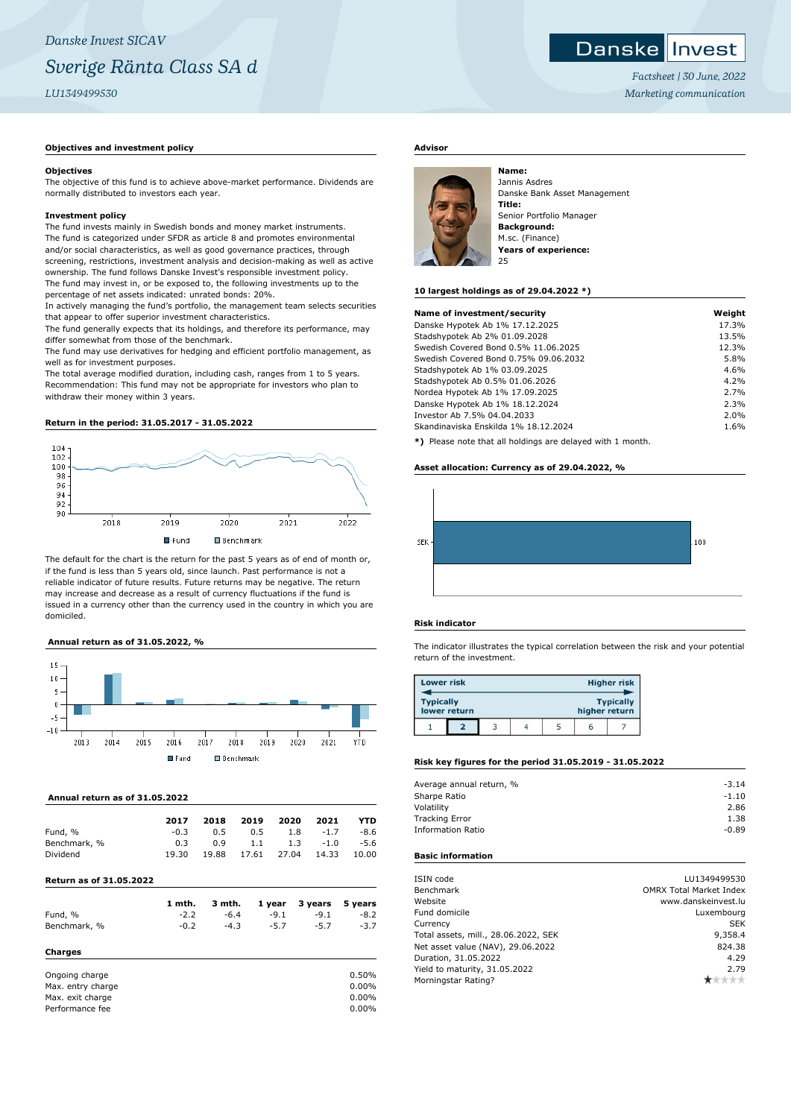## *Danske Invest SICAV Sverige Ränta Class SA d LU1349499530*

#### **Objectives and investment policy**

#### **Objectives**

The objective of this fund is to achieve above-market performance. Dividends are normally distributed to investors each year.

#### **Investment policy**

The fund invests mainly in Swedish bonds and money market instruments. The fund is categorized under SFDR as article 8 and promotes environmental and/or social characteristics, as well as good governance practices, through screening, restrictions, investment analysis and decision-making as well as active ownership. The fund follows Danske Invest's responsible investment policy. The fund may invest in, or be exposed to, the following investments up to the percentage of net assets indicated: unrated bonds: 20%.

In actively managing the fund's portfolio, the management team selects securities that appear to offer superior investment characteristics.

The fund generally expects that its holdings, and therefore its performance, may differ somewhat from those of the benchmark.

The fund may use derivatives for hedging and efficient portfolio management, as well as for investment purposes.

The total average modified duration, including cash, ranges from 1 to 5 years. Recommendation: This fund may not be appropriate for investors who plan to withdraw their money within 3 years.

#### **Return in the period: 31.05.2017 - 31.05.2022**



The default for the chart is the return for the past 5 years as of end of month or, if the fund is less than 5 years old, since launch. Past performance is not a reliable indicator of future results. Future returns may be negative. The return may increase and decrease as a result of currency fluctuations if the fund is issued in a currency other than the currency used in the country in which you are domiciled.

#### **Annual return as of 31.05.2022, %**



#### **Annual return as of 31.05.2022**

|              | 2017   | 2018  | 2019        | 2020 | 2021   | YTD    |
|--------------|--------|-------|-------------|------|--------|--------|
| Fund, %      | $-0.3$ | 0.5   | 0.5         | 1.8  | $-1.7$ | $-8.6$ |
| Benchmark, % | 0.3    | 0.9   | 1.1         | 1.3  | $-1.0$ | $-5.6$ |
| Dividend     | 19.30  | 19.88 | 17.61 27.04 |      | 14.33  | 10.00  |
|              |        |       |             |      |        |        |

#### **Return as of 31.05.2022**

**Charges**

|              | 1 mth. |        |        | 3 mth. 1 year 3 years 5 years |        |
|--------------|--------|--------|--------|-------------------------------|--------|
| Fund, %      | $-2.2$ | $-6.4$ | $-9.1$ | $-9.1$                        | $-8.2$ |
| Benchmark, % | $-0.2$ | $-4.3$ | $-5.7$ | $-5.7$                        | $-3.7$ |

#### Ongoing charge  $0.50\%$ Max. entry charge 0.00% Max. exit charge 0.00% Performance fee 0.00%

#### **Advisor**



Jannis Asdres Danske Bank Asset Management **Title:** Senior Portfolio Manager **Background:** M.sc. (Finance) **Years of experience:** 25

#### **10 largest holdings as of 29.04.2022 \*)**

| Name of investment/security                                  | Weight |
|--------------------------------------------------------------|--------|
| Danske Hypotek Ab 1% 17.12.2025                              | 17.3%  |
| Stadshypotek Ab 2% 01.09.2028                                | 13.5%  |
| Swedish Covered Bond 0.5% 11.06.2025                         | 12.3%  |
| Swedish Covered Bond 0.75% 09.06.2032                        | 5.8%   |
| Stadshypotek Ab 1% 03.09.2025                                | 4.6%   |
| Stadshypotek Ab 0.5% 01.06.2026                              | 4.2%   |
| Nordea Hypotek Ab 1% 17.09.2025                              | 2.7%   |
| Danske Hypotek Ab 1% 18.12.2024                              | 2.3%   |
| Investor Ab 7.5% 04.04.2033                                  | 2.0%   |
| Skandinaviska Enskilda 1% 18.12.2024                         | 1.6%   |
| $*1$ Dispos pote that all beldings are delayed with 1 member |        |

**\*)** Please note that all holdings are delayed with 1 month.

#### **Asset allocation: Currency as of 29.04.2022, %**



#### **Risk indicator**

The indicator illustrates the typical correlation between the risk and your potential return of the investment.

| <b>Lower risk</b> |              |  |               | Higher risk      |
|-------------------|--------------|--|---------------|------------------|
| <b>Typically</b>  | lower return |  | higher return | <b>Typically</b> |
|                   |              |  | h             |                  |

#### **Risk key figures for the period 31.05.2019 - 31.05.2022**

| Average annual return, % | $-3.14$ |
|--------------------------|---------|
| Sharpe Ratio             | $-1.10$ |
| Volatility               | 2.86    |
| <b>Tracking Error</b>    | 1.38    |
| <b>Information Ratio</b> | $-0.89$ |
|                          |         |

#### **Basic information**

| ISIN code                            | LU1349499530                   |
|--------------------------------------|--------------------------------|
| <b>Benchmark</b>                     | <b>OMRX Total Market Index</b> |
| Website                              | www.danskeinvest.lu            |
| Fund domicile                        | Luxembourg                     |
| Currency                             | <b>SEK</b>                     |
| Total assets, mill., 28.06.2022, SEK | 9,358.4                        |
| Net asset value (NAV), 29.06.2022    | 824.38                         |
| Duration, 31.05.2022                 | 4.29                           |
| Yield to maturity, 31.05.2022        | 2.79                           |
| Morningstar Rating?                  |                                |

### **Danske Invest**

*Factsheet | 30 June, 2022 Marketing communication*